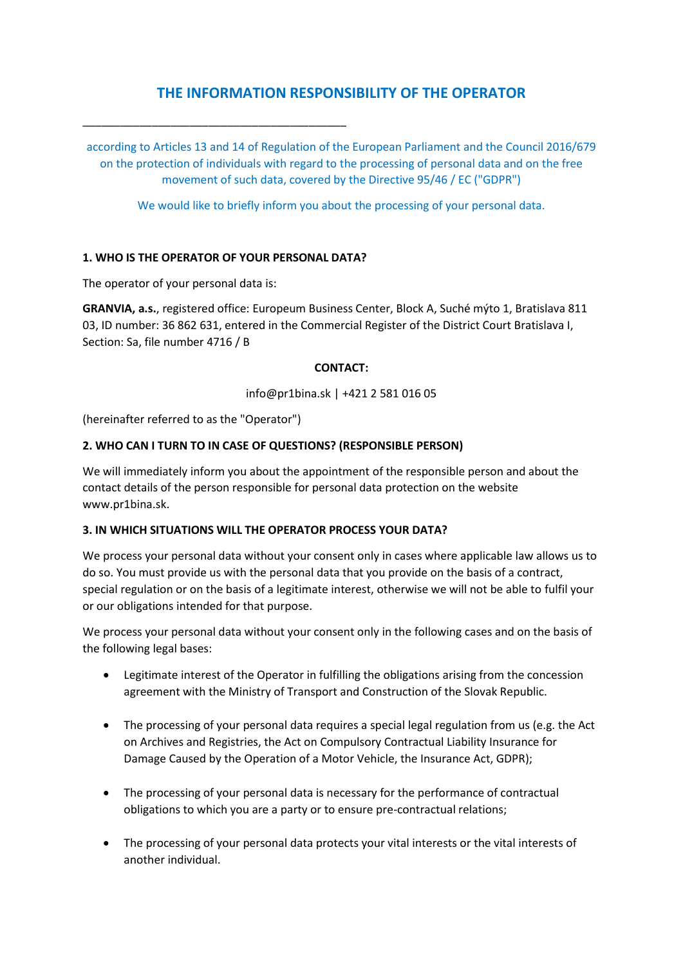# **THE INFORMATION RESPONSIBILITY OF THE OPERATOR**

\_\_\_\_\_\_\_\_\_\_\_\_\_\_\_\_\_\_\_\_\_\_\_\_\_\_\_\_\_\_\_\_\_\_\_\_\_\_\_\_\_\_

according to Articles 13 and 14 of Regulation of the European Parliament and the Council 2016/679 on the protection of individuals with regard to the processing of personal data and on the free movement of such data, covered by the Directive 95/46 / EC ("GDPR")

We would like to briefly inform you about the processing of your personal data.

### **1. WHO IS THE OPERATOR OF YOUR PERSONAL DATA?**

The operator of your personal data is:

**GRANVIA, a.s.**, registered office: Europeum Business Center, Block A, Suché mýto 1, Bratislava 811 03, ID number: 36 862 631, entered in the Commercial Register of the District Court Bratislava I, Section: Sa, file number 4716 / B

#### **CONTACT:**

info@pr1bina.sk | +421 2 581 016 05

(hereinafter referred to as the "Operator")

#### **2. WHO CAN I TURN TO IN CASE OF QUESTIONS? (RESPONSIBLE PERSON)**

We will immediately inform you about the appointment of the responsible person and about the contact details of the person responsible for personal data protection on the website www.pr1bina.sk.

#### **3. IN WHICH SITUATIONS WILL THE OPERATOR PROCESS YOUR DATA?**

We process your personal data without your consent only in cases where applicable law allows us to do so. You must provide us with the personal data that you provide on the basis of a contract, special regulation or on the basis of a legitimate interest, otherwise we will not be able to fulfil your or our obligations intended for that purpose.

We process your personal data without your consent only in the following cases and on the basis of the following legal bases:

- Legitimate interest of the Operator in fulfilling the obligations arising from the concession agreement with the Ministry of Transport and Construction of the Slovak Republic.
- The processing of your personal data requires a special legal regulation from us (e.g. the Act on Archives and Registries, the Act on Compulsory Contractual Liability Insurance for Damage Caused by the Operation of a Motor Vehicle, the Insurance Act, GDPR);
- The processing of your personal data is necessary for the performance of contractual obligations to which you are a party or to ensure pre-contractual relations;
- The processing of your personal data protects your vital interests or the vital interests of another individual.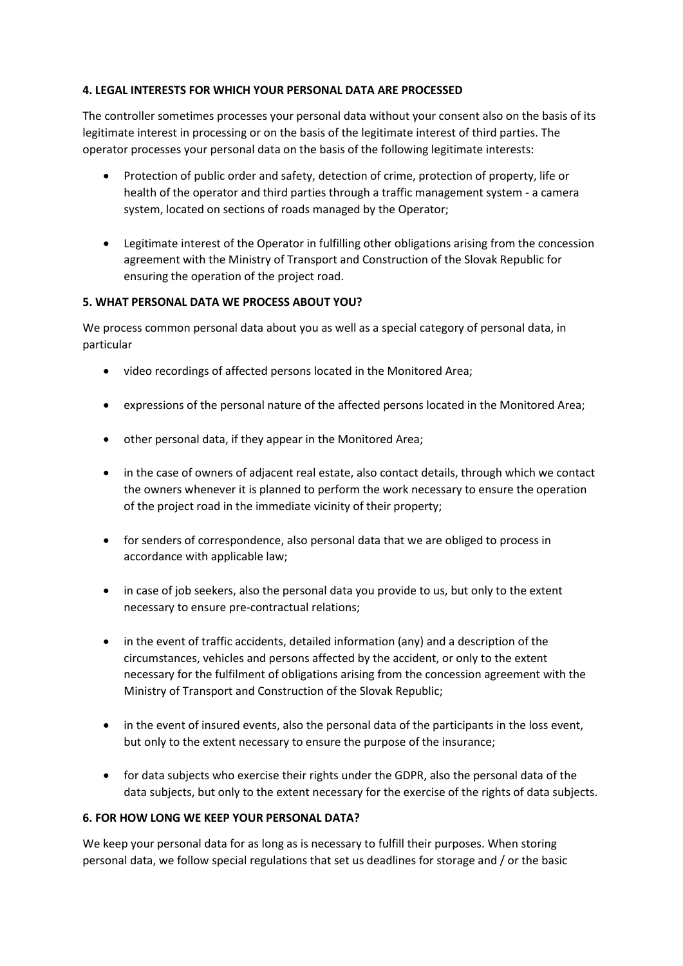### **4. LEGAL INTERESTS FOR WHICH YOUR PERSONAL DATA ARE PROCESSED**

The controller sometimes processes your personal data without your consent also on the basis of its legitimate interest in processing or on the basis of the legitimate interest of third parties. The operator processes your personal data on the basis of the following legitimate interests:

- Protection of public order and safety, detection of crime, protection of property, life or health of the operator and third parties through a traffic management system - a camera system, located on sections of roads managed by the Operator;
- Legitimate interest of the Operator in fulfilling other obligations arising from the concession agreement with the Ministry of Transport and Construction of the Slovak Republic for ensuring the operation of the project road.

### **5. WHAT PERSONAL DATA WE PROCESS ABOUT YOU?**

We process common personal data about you as well as a special category of personal data, in particular

- video recordings of affected persons located in the Monitored Area;
- expressions of the personal nature of the affected persons located in the Monitored Area;
- other personal data, if they appear in the Monitored Area;
- in the case of owners of adjacent real estate, also contact details, through which we contact the owners whenever it is planned to perform the work necessary to ensure the operation of the project road in the immediate vicinity of their property;
- for senders of correspondence, also personal data that we are obliged to process in accordance with applicable law;
- in case of job seekers, also the personal data you provide to us, but only to the extent necessary to ensure pre-contractual relations;
- in the event of traffic accidents, detailed information (any) and a description of the circumstances, vehicles and persons affected by the accident, or only to the extent necessary for the fulfilment of obligations arising from the concession agreement with the Ministry of Transport and Construction of the Slovak Republic;
- in the event of insured events, also the personal data of the participants in the loss event, but only to the extent necessary to ensure the purpose of the insurance;
- for data subjects who exercise their rights under the GDPR, also the personal data of the data subjects, but only to the extent necessary for the exercise of the rights of data subjects.

#### **6. FOR HOW LONG WE KEEP YOUR PERSONAL DATA?**

We keep your personal data for as long as is necessary to fulfill their purposes. When storing personal data, we follow special regulations that set us deadlines for storage and / or the basic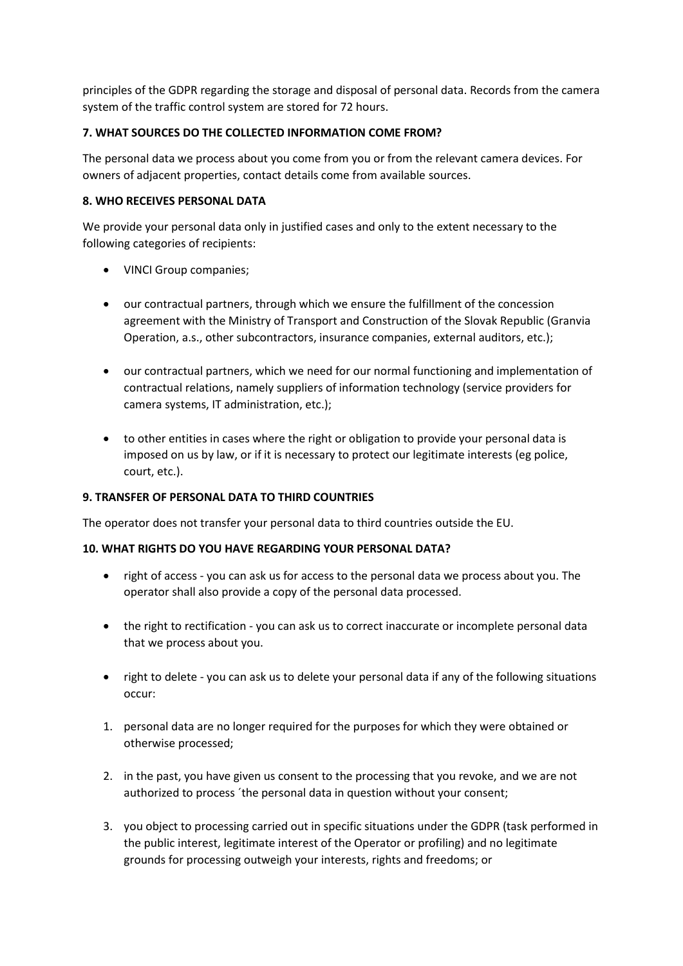principles of the GDPR regarding the storage and disposal of personal data. Records from the camera system of the traffic control system are stored for 72 hours.

## **7. WHAT SOURCES DO THE COLLECTED INFORMATION COME FROM?**

The personal data we process about you come from you or from the relevant camera devices. For owners of adjacent properties, contact details come from available sources.

## **8. WHO RECEIVES PERSONAL DATA**

We provide your personal data only in justified cases and only to the extent necessary to the following categories of recipients:

- VINCI Group companies;
- our contractual partners, through which we ensure the fulfillment of the concession agreement with the Ministry of Transport and Construction of the Slovak Republic (Granvia Operation, a.s., other subcontractors, insurance companies, external auditors, etc.);
- our contractual partners, which we need for our normal functioning and implementation of contractual relations, namely suppliers of information technology (service providers for camera systems, IT administration, etc.);
- to other entities in cases where the right or obligation to provide your personal data is imposed on us by law, or if it is necessary to protect our legitimate interests (eg police, court, etc.).

## **9. TRANSFER OF PERSONAL DATA TO THIRD COUNTRIES**

The operator does not transfer your personal data to third countries outside the EU.

#### **10. WHAT RIGHTS DO YOU HAVE REGARDING YOUR PERSONAL DATA?**

- right of access you can ask us for access to the personal data we process about you. The operator shall also provide a copy of the personal data processed.
- the right to rectification you can ask us to correct inaccurate or incomplete personal data that we process about you.
- right to delete you can ask us to delete your personal data if any of the following situations occur:
- 1. personal data are no longer required for the purposes for which they were obtained or otherwise processed;
- 2. in the past, you have given us consent to the processing that you revoke, and we are not authorized to process ´the personal data in question without your consent;
- 3. you object to processing carried out in specific situations under the GDPR (task performed in the public interest, legitimate interest of the Operator or profiling) and no legitimate grounds for processing outweigh your interests, rights and freedoms; or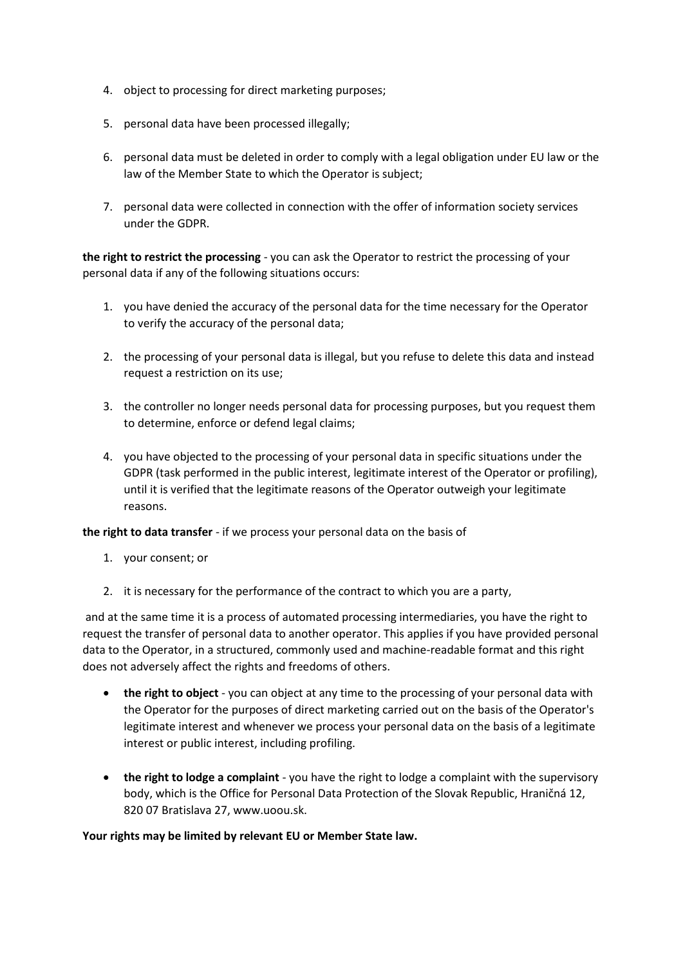- 4. object to processing for direct marketing purposes;
- 5. personal data have been processed illegally;
- 6. personal data must be deleted in order to comply with a legal obligation under EU law or the law of the Member State to which the Operator is subject;
- 7. personal data were collected in connection with the offer of information society services under the GDPR.

**the right to restrict the processing** - you can ask the Operator to restrict the processing of your personal data if any of the following situations occurs:

- 1. you have denied the accuracy of the personal data for the time necessary for the Operator to verify the accuracy of the personal data;
- 2. the processing of your personal data is illegal, but you refuse to delete this data and instead request a restriction on its use;
- 3. the controller no longer needs personal data for processing purposes, but you request them to determine, enforce or defend legal claims;
- 4. you have objected to the processing of your personal data in specific situations under the GDPR (task performed in the public interest, legitimate interest of the Operator or profiling), until it is verified that the legitimate reasons of the Operator outweigh your legitimate reasons.

**the right to data transfer** - if we process your personal data on the basis of

- 1. your consent; or
- 2. it is necessary for the performance of the contract to which you are a party,

and at the same time it is a process of automated processing intermediaries, you have the right to request the transfer of personal data to another operator. This applies if you have provided personal data to the Operator, in a structured, commonly used and machine-readable format and this right does not adversely affect the rights and freedoms of others.

- **the right to object** you can object at any time to the processing of your personal data with the Operator for the purposes of direct marketing carried out on the basis of the Operator's legitimate interest and whenever we process your personal data on the basis of a legitimate interest or public interest, including profiling.
- **the right to lodge a complaint** you have the right to lodge a complaint with the supervisory body, which is the Office for Personal Data Protection of the Slovak Republic, Hraničná 12, 820 07 Bratislava 27, www.uoou.sk.

#### **Your rights may be limited by relevant EU or Member State law.**